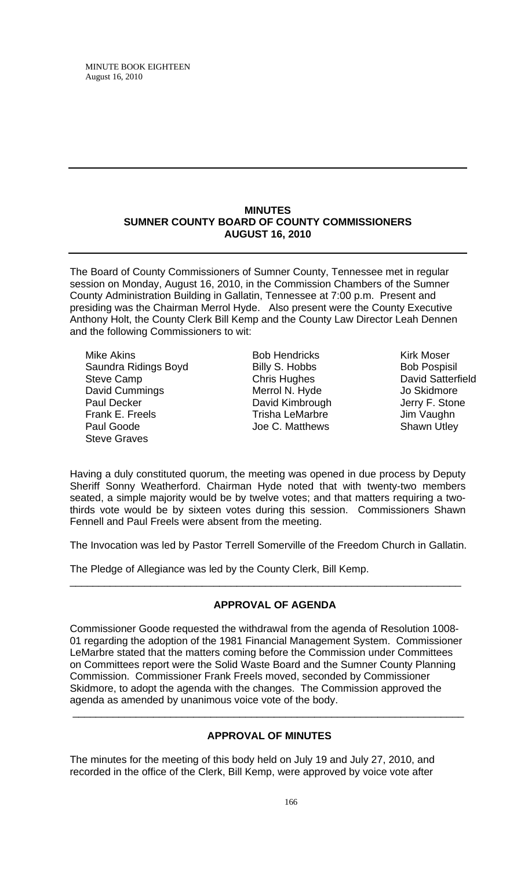#### **MINUTES SUMNER COUNTY BOARD OF COUNTY COMMISSIONERS AUGUST 16, 2010**

The Board of County Commissioners of Sumner County, Tennessee met in regular session on Monday, August 16, 2010, in the Commission Chambers of the Sumner County Administration Building in Gallatin, Tennessee at 7:00 p.m. Present and presiding was the Chairman Merrol Hyde. Also present were the County Executive Anthony Holt, the County Clerk Bill Kemp and the County Law Director Leah Dennen and the following Commissioners to wit:

Mike Akins Saundra Ridings Boyd Steve Camp David Cummings Paul Decker Frank E. Freels Paul Goode Steve Graves

Bob Hendricks Billy S. Hobbs Chris Hughes Merrol N. Hyde David Kimbrough Trisha LeMarbre Joe C. Matthews

Kirk Moser Bob Pospisil David Satterfield Jo Skidmore Jerry F. Stone Jim Vaughn Shawn Utley

Having a duly constituted quorum, the meeting was opened in due process by Deputy Sheriff Sonny Weatherford. Chairman Hyde noted that with twenty-two members seated, a simple majority would be by twelve votes; and that matters requiring a twothirds vote would be by sixteen votes during this session. Commissioners Shawn Fennell and Paul Freels were absent from the meeting.

The Invocation was led by Pastor Terrell Somerville of the Freedom Church in Gallatin.

\_\_\_\_\_\_\_\_\_\_\_\_\_\_\_\_\_\_\_\_\_\_\_\_\_\_\_\_\_\_\_\_\_\_\_\_\_\_\_\_\_\_\_\_\_\_\_\_\_\_\_\_\_\_\_\_\_\_\_\_\_\_\_\_\_\_\_\_

The Pledge of Allegiance was led by the County Clerk, Bill Kemp.

# **APPROVAL OF AGENDA**

Commissioner Goode requested the withdrawal from the agenda of Resolution 1008- 01 regarding the adoption of the 1981 Financial Management System. Commissioner LeMarbre stated that the matters coming before the Commission under Committees on Committees report were the Solid Waste Board and the Sumner County Planning Commission. Commissioner Frank Freels moved, seconded by Commissioner Skidmore, to adopt the agenda with the changes. The Commission approved the agenda as amended by unanimous voice vote of the body.

# **APPROVAL OF MINUTES**

\_\_\_\_\_\_\_\_\_\_\_\_\_\_\_\_\_\_\_\_\_\_\_\_\_\_\_\_\_\_\_\_\_\_\_\_\_\_\_\_\_\_\_\_\_\_\_\_\_\_\_\_\_\_\_\_\_\_\_\_\_\_\_\_\_\_\_\_

The minutes for the meeting of this body held on July 19 and July 27, 2010, and recorded in the office of the Clerk, Bill Kemp, were approved by voice vote after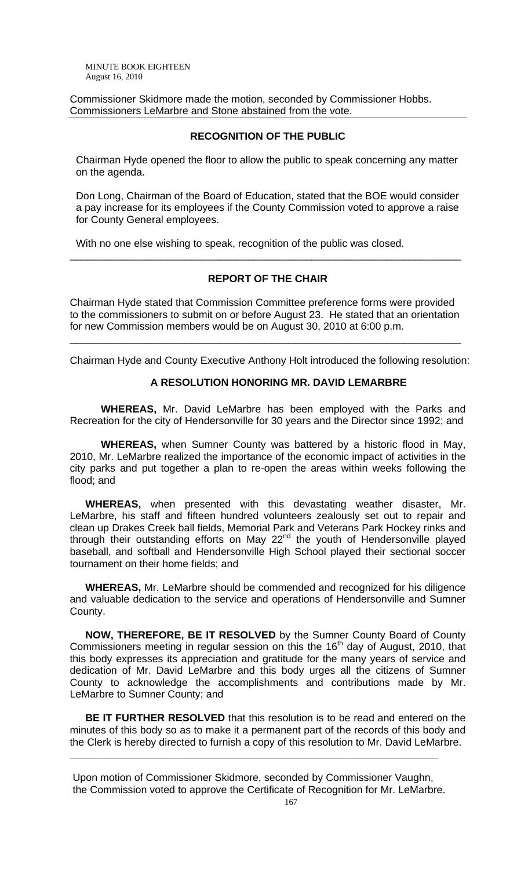Commissioner Skidmore made the motion, seconded by Commissioner Hobbs. Commissioners LeMarbre and Stone abstained from the vote.

## **RECOGNITION OF THE PUBLIC**

 Chairman Hyde opened the floor to allow the public to speak concerning any matter on the agenda.

 Don Long, Chairman of the Board of Education, stated that the BOE would consider a pay increase for its employees if the County Commission voted to approve a raise for County General employees.

With no one else wishing to speak, recognition of the public was closed.

## **REPORT OF THE CHAIR**

\_\_\_\_\_\_\_\_\_\_\_\_\_\_\_\_\_\_\_\_\_\_\_\_\_\_\_\_\_\_\_\_\_\_\_\_\_\_\_\_\_\_\_\_\_\_\_\_\_\_\_\_\_\_\_\_\_\_\_\_\_\_\_\_\_\_\_\_

Chairman Hyde stated that Commission Committee preference forms were provided to the commissioners to submit on or before August 23. He stated that an orientation for new Commission members would be on August 30, 2010 at 6:00 p.m.

\_\_\_\_\_\_\_\_\_\_\_\_\_\_\_\_\_\_\_\_\_\_\_\_\_\_\_\_\_\_\_\_\_\_\_\_\_\_\_\_\_\_\_\_\_\_\_\_\_\_\_\_\_\_\_\_\_\_\_\_\_\_\_\_\_\_\_\_

Chairman Hyde and County Executive Anthony Holt introduced the following resolution:

#### **A RESOLUTION HONORING MR. DAVID LEMARBRE**

**WHEREAS,** Mr. David LeMarbre has been employed with the Parks and Recreation for the city of Hendersonville for 30 years and the Director since 1992; and

**WHEREAS,** when Sumner County was battered by a historic flood in May, 2010, Mr. LeMarbre realized the importance of the economic impact of activities in the city parks and put together a plan to re-open the areas within weeks following the flood; and

**WHEREAS,** when presented with this devastating weather disaster, Mr. LeMarbre, his staff and fifteen hundred volunteers zealously set out to repair and clean up Drakes Creek ball fields, Memorial Park and Veterans Park Hockey rinks and through their outstanding efforts on May 22<sup>nd</sup> the youth of Hendersonville played baseball, and softball and Hendersonville High School played their sectional soccer tournament on their home fields; and

**WHEREAS,** Mr. LeMarbre should be commended and recognized for his diligence and valuable dedication to the service and operations of Hendersonville and Sumner County.

**NOW, THEREFORE, BE IT RESOLVED** by the Sumner County Board of County Commissioners meeting in regular session on this the  $16<sup>th</sup>$  day of August, 2010, that this body expresses its appreciation and gratitude for the many years of service and dedication of Mr. David LeMarbre and this body urges all the citizens of Sumner County to acknowledge the accomplishments and contributions made by Mr. LeMarbre to Sumner County; and

**BE IT FURTHER RESOLVED** that this resolution is to be read and entered on the minutes of this body so as to make it a permanent part of the records of this body and the Clerk is hereby directed to furnish a copy of this resolution to Mr. David LeMarbre.

Upon motion of Commissioner Skidmore, seconded by Commissioner Vaughn, the Commission voted to approve the Certificate of Recognition for Mr. LeMarbre.

**\_\_\_\_\_\_\_\_\_\_\_\_\_\_\_\_\_\_\_\_\_\_\_\_\_\_\_\_\_\_\_\_\_\_\_\_\_\_\_\_\_\_\_\_\_\_\_\_\_\_\_\_\_\_\_\_\_\_\_\_\_\_\_\_**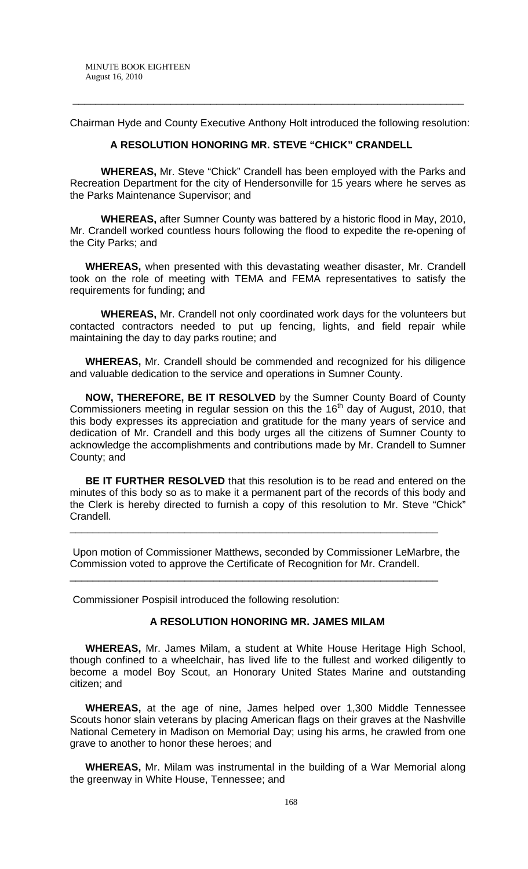Chairman Hyde and County Executive Anthony Holt introduced the following resolution:

\_\_\_\_\_\_\_\_\_\_\_\_\_\_\_\_\_\_\_\_\_\_\_\_\_\_\_\_\_\_\_\_\_\_\_\_\_\_\_\_\_\_\_\_\_\_\_\_\_\_\_\_\_\_\_\_\_\_\_\_\_\_\_\_\_\_\_\_

#### **A RESOLUTION HONORING MR. STEVE "CHICK" CRANDELL**

**WHEREAS,** Mr. Steve "Chick" Crandell has been employed with the Parks and Recreation Department for the city of Hendersonville for 15 years where he serves as the Parks Maintenance Supervisor; and

**WHEREAS,** after Sumner County was battered by a historic flood in May, 2010, Mr. Crandell worked countless hours following the flood to expedite the re-opening of the City Parks; and

**WHEREAS,** when presented with this devastating weather disaster, Mr. Crandell took on the role of meeting with TEMA and FEMA representatives to satisfy the requirements for funding; and

**WHEREAS,** Mr. Crandell not only coordinated work days for the volunteers but contacted contractors needed to put up fencing, lights, and field repair while maintaining the day to day parks routine; and

**WHEREAS,** Mr. Crandell should be commended and recognized for his diligence and valuable dedication to the service and operations in Sumner County.

**NOW, THEREFORE, BE IT RESOLVED** by the Sumner County Board of County Commissioners meeting in regular session on this the  $16<sup>th</sup>$  day of August, 2010, that this body expresses its appreciation and gratitude for the many years of service and dedication of Mr. Crandell and this body urges all the citizens of Sumner County to acknowledge the accomplishments and contributions made by Mr. Crandell to Sumner County; and

**BE IT FURTHER RESOLVED** that this resolution is to be read and entered on the minutes of this body so as to make it a permanent part of the records of this body and the Clerk is hereby directed to furnish a copy of this resolution to Mr. Steve "Chick" Crandell.

Upon motion of Commissioner Matthews, seconded by Commissioner LeMarbre, the Commission voted to approve the Certificate of Recognition for Mr. Crandell.

**\_\_\_\_\_\_\_\_\_\_\_\_\_\_\_\_\_\_\_\_\_\_\_\_\_\_\_\_\_\_\_\_\_\_\_\_\_\_\_\_\_\_\_\_\_\_\_\_\_\_\_\_\_\_\_\_\_\_\_\_\_\_\_\_**

\_\_\_\_\_\_\_\_\_\_\_\_\_\_\_\_\_\_\_\_\_\_\_\_\_\_\_\_\_\_\_\_\_\_\_\_\_\_\_\_\_\_\_\_\_\_\_\_\_\_\_\_\_\_\_\_\_\_\_\_\_\_\_\_

Commissioner Pospisil introduced the following resolution:

## **A RESOLUTION HONORING MR. JAMES MILAM**

 **WHEREAS,** Mr. James Milam, a student at White House Heritage High School, though confined to a wheelchair, has lived life to the fullest and worked diligently to become a model Boy Scout, an Honorary United States Marine and outstanding citizen; and

**WHEREAS,** at the age of nine, James helped over 1,300 Middle Tennessee Scouts honor slain veterans by placing American flags on their graves at the Nashville National Cemetery in Madison on Memorial Day; using his arms, he crawled from one grave to another to honor these heroes; and

**WHEREAS,** Mr. Milam was instrumental in the building of a War Memorial along the greenway in White House, Tennessee; and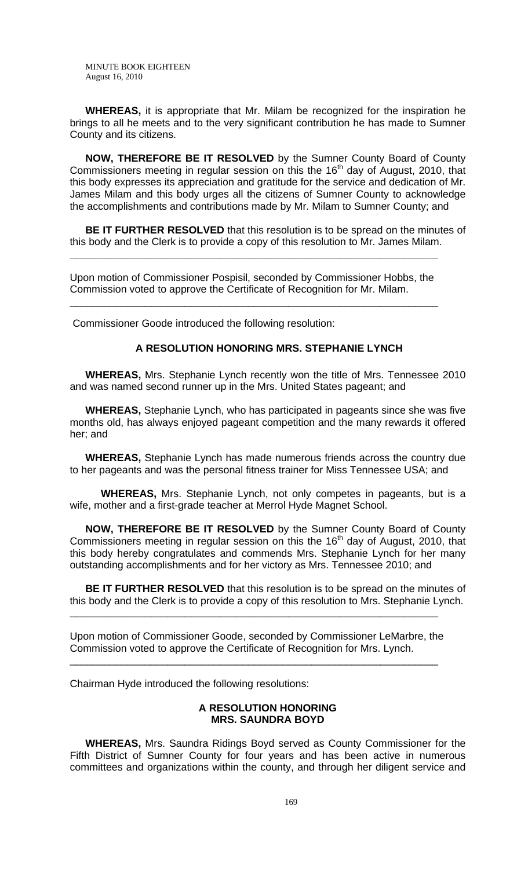**WHEREAS,** it is appropriate that Mr. Milam be recognized for the inspiration he brings to all he meets and to the very significant contribution he has made to Sumner County and its citizens.

**NOW, THEREFORE BE IT RESOLVED** by the Sumner County Board of County Commissioners meeting in regular session on this the  $16<sup>th</sup>$  day of August, 2010, that this body expresses its appreciation and gratitude for the service and dedication of Mr. James Milam and this body urges all the citizens of Sumner County to acknowledge the accomplishments and contributions made by Mr. Milam to Sumner County; and

**BE IT FURTHER RESOLVED** that this resolution is to be spread on the minutes of this body and the Clerk is to provide a copy of this resolution to Mr. James Milam.

Upon motion of Commissioner Pospisil, seconded by Commissioner Hobbs, the Commission voted to approve the Certificate of Recognition for Mr. Milam.

\_\_\_\_\_\_\_\_\_\_\_\_\_\_\_\_\_\_\_\_\_\_\_\_\_\_\_\_\_\_\_\_\_\_\_\_\_\_\_\_\_\_\_\_\_\_\_\_\_\_\_\_\_\_\_\_\_\_\_\_\_\_\_\_

**\_\_\_\_\_\_\_\_\_\_\_\_\_\_\_\_\_\_\_\_\_\_\_\_\_\_\_\_\_\_\_\_\_\_\_\_\_\_\_\_\_\_\_\_\_\_\_\_\_\_\_\_\_\_\_\_\_\_\_\_\_\_\_\_**

Commissioner Goode introduced the following resolution:

## **A RESOLUTION HONORING MRS. STEPHANIE LYNCH**

 **WHEREAS,** Mrs. Stephanie Lynch recently won the title of Mrs. Tennessee 2010 and was named second runner up in the Mrs. United States pageant; and

**WHEREAS,** Stephanie Lynch, who has participated in pageants since she was five months old, has always enjoyed pageant competition and the many rewards it offered her; and

**WHEREAS,** Stephanie Lynch has made numerous friends across the country due to her pageants and was the personal fitness trainer for Miss Tennessee USA; and

**WHEREAS,** Mrs. Stephanie Lynch, not only competes in pageants, but is a wife, mother and a first-grade teacher at Merrol Hyde Magnet School.

**NOW, THEREFORE BE IT RESOLVED** by the Sumner County Board of County Commissioners meeting in regular session on this the  $16<sup>th</sup>$  day of August, 2010, that this body hereby congratulates and commends Mrs. Stephanie Lynch for her many outstanding accomplishments and for her victory as Mrs. Tennessee 2010; and

**BE IT FURTHER RESOLVED** that this resolution is to be spread on the minutes of this body and the Clerk is to provide a copy of this resolution to Mrs. Stephanie Lynch.

Upon motion of Commissioner Goode, seconded by Commissioner LeMarbre, the Commission voted to approve the Certificate of Recognition for Mrs. Lynch.

\_\_\_\_\_\_\_\_\_\_\_\_\_\_\_\_\_\_\_\_\_\_\_\_\_\_\_\_\_\_\_\_\_\_\_\_\_\_\_\_\_\_\_\_\_\_\_\_\_\_\_\_\_\_\_\_\_\_\_\_\_\_\_\_

**\_\_\_\_\_\_\_\_\_\_\_\_\_\_\_\_\_\_\_\_\_\_\_\_\_\_\_\_\_\_\_\_\_\_\_\_\_\_\_\_\_\_\_\_\_\_\_\_\_\_\_\_\_\_\_\_\_\_\_\_\_\_\_\_**

Chairman Hyde introduced the following resolutions:

#### **A RESOLUTION HONORING MRS. SAUNDRA BOYD**

 **WHEREAS,** Mrs. Saundra Ridings Boyd served as County Commissioner for the Fifth District of Sumner County for four years and has been active in numerous committees and organizations within the county, and through her diligent service and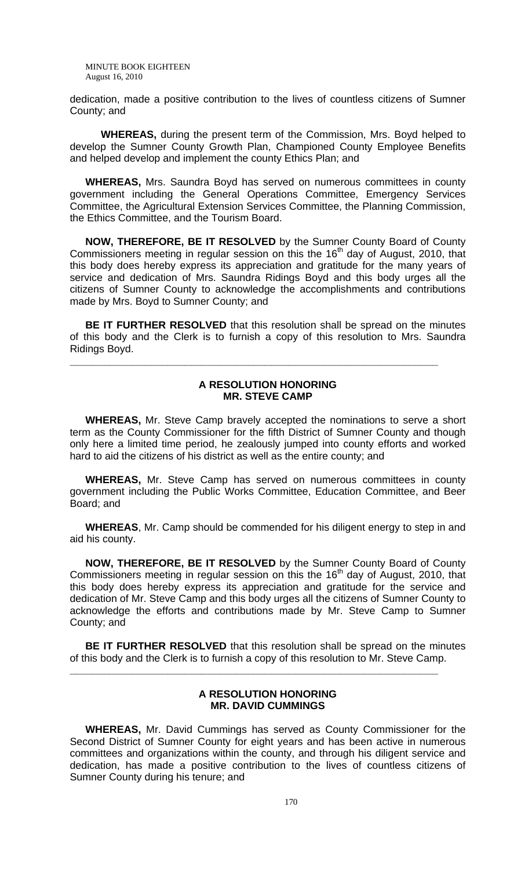dedication, made a positive contribution to the lives of countless citizens of Sumner County; and

**WHEREAS,** during the present term of the Commission, Mrs. Boyd helped to develop the Sumner County Growth Plan, Championed County Employee Benefits and helped develop and implement the county Ethics Plan; and

**WHEREAS,** Mrs. Saundra Boyd has served on numerous committees in county government including the General Operations Committee, Emergency Services Committee, the Agricultural Extension Services Committee, the Planning Commission, the Ethics Committee, and the Tourism Board.

**NOW, THEREFORE, BE IT RESOLVED** by the Sumner County Board of County Commissioners meeting in regular session on this the  $16<sup>th</sup>$  day of August, 2010, that this body does hereby express its appreciation and gratitude for the many years of service and dedication of Mrs. Saundra Ridings Boyd and this body urges all the citizens of Sumner County to acknowledge the accomplishments and contributions made by Mrs. Boyd to Sumner County; and

**BE IT FURTHER RESOLVED** that this resolution shall be spread on the minutes of this body and the Clerk is to furnish a copy of this resolution to Mrs. Saundra Ridings Boyd.

**\_\_\_\_\_\_\_\_\_\_\_\_\_\_\_\_\_\_\_\_\_\_\_\_\_\_\_\_\_\_\_\_\_\_\_\_\_\_\_\_\_\_\_\_\_\_\_\_\_\_\_\_\_\_\_\_\_\_\_\_\_\_\_\_**

## **A RESOLUTION HONORING MR. STEVE CAMP**

 **WHEREAS,** Mr. Steve Camp bravely accepted the nominations to serve a short term as the County Commissioner for the fifth District of Sumner County and though only here a limited time period, he zealously jumped into county efforts and worked hard to aid the citizens of his district as well as the entire county; and

**WHEREAS,** Mr. Steve Camp has served on numerous committees in county government including the Public Works Committee, Education Committee, and Beer Board; and

**WHEREAS**, Mr. Camp should be commended for his diligent energy to step in and aid his county.

**NOW, THEREFORE, BE IT RESOLVED** by the Sumner County Board of County Commissioners meeting in regular session on this the  $16<sup>th</sup>$  day of August, 2010, that this body does hereby express its appreciation and gratitude for the service and dedication of Mr. Steve Camp and this body urges all the citizens of Sumner County to acknowledge the efforts and contributions made by Mr. Steve Camp to Sumner County; and

**BE IT FURTHER RESOLVED** that this resolution shall be spread on the minutes of this body and the Clerk is to furnish a copy of this resolution to Mr. Steve Camp.

**\_\_\_\_\_\_\_\_\_\_\_\_\_\_\_\_\_\_\_\_\_\_\_\_\_\_\_\_\_\_\_\_\_\_\_\_\_\_\_\_\_\_\_\_\_\_\_\_\_\_\_\_\_\_\_\_\_\_\_\_\_\_\_\_**

## **A RESOLUTION HONORING MR. DAVID CUMMINGS**

 **WHEREAS,** Mr. David Cummings has served as County Commissioner for the Second District of Sumner County for eight years and has been active in numerous committees and organizations within the county, and through his diligent service and dedication, has made a positive contribution to the lives of countless citizens of Sumner County during his tenure; and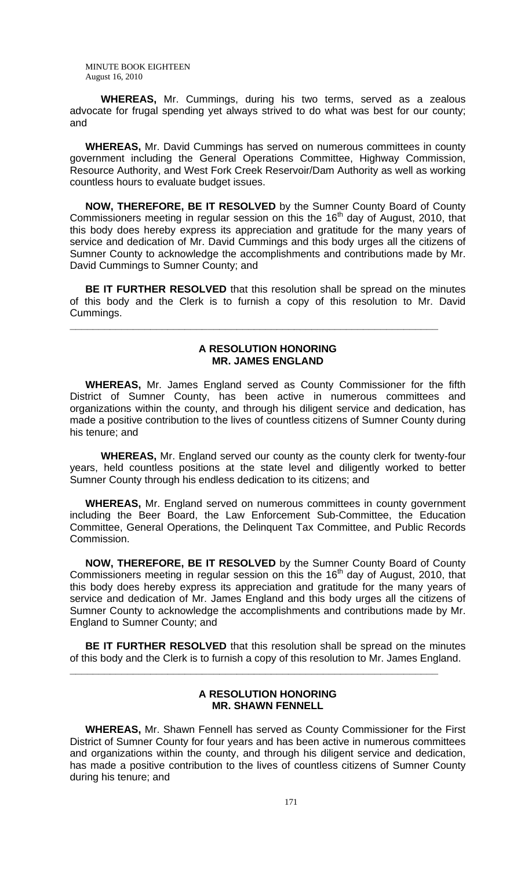**WHEREAS,** Mr. Cummings, during his two terms, served as a zealous advocate for frugal spending yet always strived to do what was best for our county; and

**WHEREAS,** Mr. David Cummings has served on numerous committees in county government including the General Operations Committee, Highway Commission, Resource Authority, and West Fork Creek Reservoir/Dam Authority as well as working countless hours to evaluate budget issues.

**NOW, THEREFORE, BE IT RESOLVED** by the Sumner County Board of County Commissioners meeting in regular session on this the  $16<sup>th</sup>$  day of August, 2010, that this body does hereby express its appreciation and gratitude for the many years of service and dedication of Mr. David Cummings and this body urges all the citizens of Sumner County to acknowledge the accomplishments and contributions made by Mr. David Cummings to Sumner County; and

**BE IT FURTHER RESOLVED** that this resolution shall be spread on the minutes of this body and the Clerk is to furnish a copy of this resolution to Mr. David Cummings.

**\_\_\_\_\_\_\_\_\_\_\_\_\_\_\_\_\_\_\_\_\_\_\_\_\_\_\_\_\_\_\_\_\_\_\_\_\_\_\_\_\_\_\_\_\_\_\_\_\_\_\_\_\_\_\_\_\_\_\_\_\_\_\_\_**

## **A RESOLUTION HONORING MR. JAMES ENGLAND**

 **WHEREAS,** Mr. James England served as County Commissioner for the fifth District of Sumner County, has been active in numerous committees and organizations within the county, and through his diligent service and dedication, has made a positive contribution to the lives of countless citizens of Sumner County during his tenure; and

**WHEREAS,** Mr. England served our county as the county clerk for twenty-four years, held countless positions at the state level and diligently worked to better Sumner County through his endless dedication to its citizens; and

**WHEREAS,** Mr. England served on numerous committees in county government including the Beer Board, the Law Enforcement Sub-Committee, the Education Committee, General Operations, the Delinquent Tax Committee, and Public Records Commission.

**NOW, THEREFORE, BE IT RESOLVED** by the Sumner County Board of County Commissioners meeting in regular session on this the  $16<sup>th</sup>$  day of August, 2010, that this body does hereby express its appreciation and gratitude for the many years of service and dedication of Mr. James England and this body urges all the citizens of Sumner County to acknowledge the accomplishments and contributions made by Mr. England to Sumner County; and

**BE IT FURTHER RESOLVED** that this resolution shall be spread on the minutes of this body and the Clerk is to furnish a copy of this resolution to Mr. James England.

**\_\_\_\_\_\_\_\_\_\_\_\_\_\_\_\_\_\_\_\_\_\_\_\_\_\_\_\_\_\_\_\_\_\_\_\_\_\_\_\_\_\_\_\_\_\_\_\_\_\_\_\_\_\_\_\_\_\_\_\_\_\_\_\_**

## **A RESOLUTION HONORING MR. SHAWN FENNELL**

 **WHEREAS,** Mr. Shawn Fennell has served as County Commissioner for the First District of Sumner County for four years and has been active in numerous committees and organizations within the county, and through his diligent service and dedication, has made a positive contribution to the lives of countless citizens of Sumner County during his tenure; and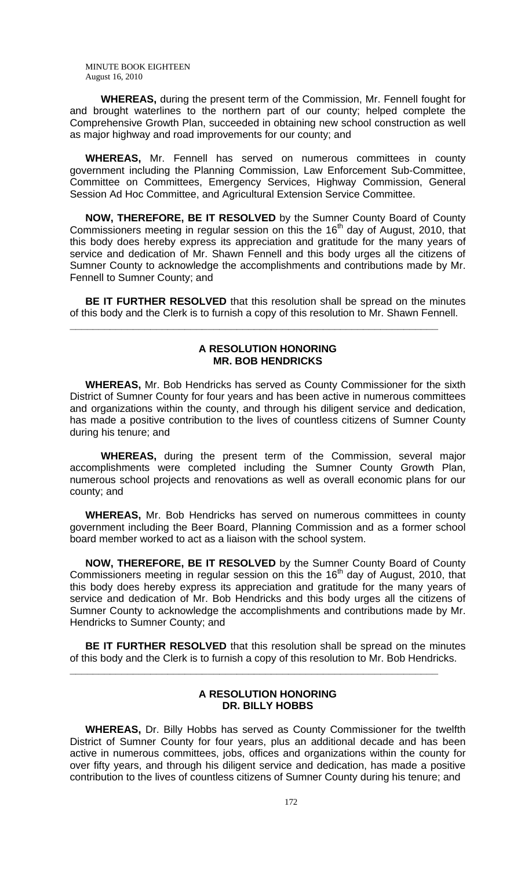**WHEREAS,** during the present term of the Commission, Mr. Fennell fought for and brought waterlines to the northern part of our county; helped complete the Comprehensive Growth Plan, succeeded in obtaining new school construction as well as major highway and road improvements for our county; and

**WHEREAS,** Mr. Fennell has served on numerous committees in county government including the Planning Commission, Law Enforcement Sub-Committee, Committee on Committees, Emergency Services, Highway Commission, General Session Ad Hoc Committee, and Agricultural Extension Service Committee.

**NOW, THEREFORE, BE IT RESOLVED** by the Sumner County Board of County Commissioners meeting in regular session on this the  $16<sup>th</sup>$  day of August, 2010, that this body does hereby express its appreciation and gratitude for the many years of service and dedication of Mr. Shawn Fennell and this body urges all the citizens of Sumner County to acknowledge the accomplishments and contributions made by Mr. Fennell to Sumner County; and

**BE IT FURTHER RESOLVED** that this resolution shall be spread on the minutes of this body and the Clerk is to furnish a copy of this resolution to Mr. Shawn Fennell.

**\_\_\_\_\_\_\_\_\_\_\_\_\_\_\_\_\_\_\_\_\_\_\_\_\_\_\_\_\_\_\_\_\_\_\_\_\_\_\_\_\_\_\_\_\_\_\_\_\_\_\_\_\_\_\_\_\_\_\_\_\_\_\_\_**

# **A RESOLUTION HONORING MR. BOB HENDRICKS**

 **WHEREAS,** Mr. Bob Hendricks has served as County Commissioner for the sixth District of Sumner County for four years and has been active in numerous committees and organizations within the county, and through his diligent service and dedication, has made a positive contribution to the lives of countless citizens of Sumner County during his tenure; and

**WHEREAS,** during the present term of the Commission, several major accomplishments were completed including the Sumner County Growth Plan, numerous school projects and renovations as well as overall economic plans for our county; and

**WHEREAS,** Mr. Bob Hendricks has served on numerous committees in county government including the Beer Board, Planning Commission and as a former school board member worked to act as a liaison with the school system.

**NOW, THEREFORE, BE IT RESOLVED** by the Sumner County Board of County Commissioners meeting in regular session on this the  $16<sup>th</sup>$  day of August, 2010, that this body does hereby express its appreciation and gratitude for the many years of service and dedication of Mr. Bob Hendricks and this body urges all the citizens of Sumner County to acknowledge the accomplishments and contributions made by Mr. Hendricks to Sumner County; and

**BE IT FURTHER RESOLVED** that this resolution shall be spread on the minutes of this body and the Clerk is to furnish a copy of this resolution to Mr. Bob Hendricks.

**\_\_\_\_\_\_\_\_\_\_\_\_\_\_\_\_\_\_\_\_\_\_\_\_\_\_\_\_\_\_\_\_\_\_\_\_\_\_\_\_\_\_\_\_\_\_\_\_\_\_\_\_\_\_\_\_\_\_\_\_\_\_\_\_**

# **A RESOLUTION HONORING DR. BILLY HOBBS**

 **WHEREAS,** Dr. Billy Hobbs has served as County Commissioner for the twelfth District of Sumner County for four years, plus an additional decade and has been active in numerous committees, jobs, offices and organizations within the county for over fifty years, and through his diligent service and dedication, has made a positive contribution to the lives of countless citizens of Sumner County during his tenure; and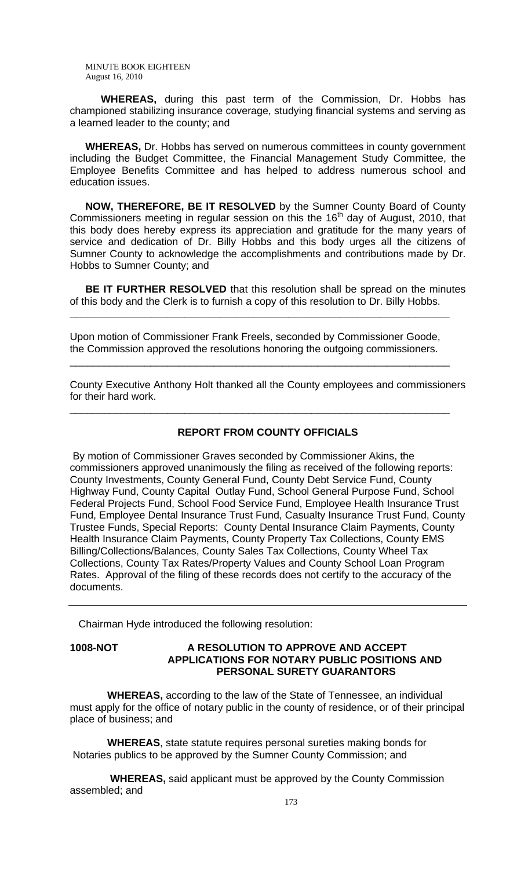**WHEREAS,** during this past term of the Commission, Dr. Hobbs has championed stabilizing insurance coverage, studying financial systems and serving as a learned leader to the county; and

**WHEREAS,** Dr. Hobbs has served on numerous committees in county government including the Budget Committee, the Financial Management Study Committee, the Employee Benefits Committee and has helped to address numerous school and education issues.

**NOW, THEREFORE, BE IT RESOLVED** by the Sumner County Board of County Commissioners meeting in regular session on this the  $16<sup>th</sup>$  day of August, 2010, that this body does hereby express its appreciation and gratitude for the many years of service and dedication of Dr. Billy Hobbs and this body urges all the citizens of Sumner County to acknowledge the accomplishments and contributions made by Dr. Hobbs to Sumner County; and

**BE IT FURTHER RESOLVED** that this resolution shall be spread on the minutes of this body and the Clerk is to furnish a copy of this resolution to Dr. Billy Hobbs.

Upon motion of Commissioner Frank Freels, seconded by Commissioner Goode, the Commission approved the resolutions honoring the outgoing commissioners.

\_\_\_\_\_\_\_\_\_\_\_\_\_\_\_\_\_\_\_\_\_\_\_\_\_\_\_\_\_\_\_\_\_\_\_\_\_\_\_\_\_\_\_\_\_\_\_\_\_\_\_\_\_\_\_\_\_\_\_\_\_\_\_\_\_\_

\_\_\_\_\_\_\_\_\_\_\_\_\_\_\_\_\_\_\_\_\_\_\_\_\_\_\_\_\_\_\_\_\_\_\_\_\_\_\_\_\_\_\_\_\_\_\_\_\_\_\_\_\_\_\_\_\_\_\_\_\_\_\_\_\_\_

**\_\_\_\_\_\_\_\_\_\_\_\_\_\_\_\_\_\_\_\_\_\_\_\_\_\_\_\_\_\_\_\_\_\_\_\_\_\_\_\_\_\_\_\_\_\_\_\_\_\_\_\_\_\_\_\_\_\_\_\_\_\_\_\_\_\_**

County Executive Anthony Holt thanked all the County employees and commissioners for their hard work.

#### **REPORT FROM COUNTY OFFICIALS**

 By motion of Commissioner Graves seconded by Commissioner Akins, the commissioners approved unanimously the filing as received of the following reports: County Investments, County General Fund, County Debt Service Fund, County Highway Fund, County Capital Outlay Fund, School General Purpose Fund, School Federal Projects Fund, School Food Service Fund, Employee Health Insurance Trust Fund, Employee Dental Insurance Trust Fund, Casualty Insurance Trust Fund, County Trustee Funds, Special Reports: County Dental Insurance Claim Payments, County Health Insurance Claim Payments, County Property Tax Collections, County EMS Billing/Collections/Balances, County Sales Tax Collections, County Wheel Tax Collections, County Tax Rates/Property Values and County School Loan Program Rates. Approval of the filing of these records does not certify to the accuracy of the documents.

Chairman Hyde introduced the following resolution:

#### **1008-NOT A RESOLUTION TO APPROVE AND ACCEPT APPLICATIONS FOR NOTARY PUBLIC POSITIONS AND PERSONAL SURETY GUARANTORS**

 **WHEREAS,** according to the law of the State of Tennessee, an individual must apply for the office of notary public in the county of residence, or of their principal place of business; and

 **WHEREAS**, state statute requires personal sureties making bonds for Notaries publics to be approved by the Sumner County Commission; and

 **WHEREAS,** said applicant must be approved by the County Commission assembled; and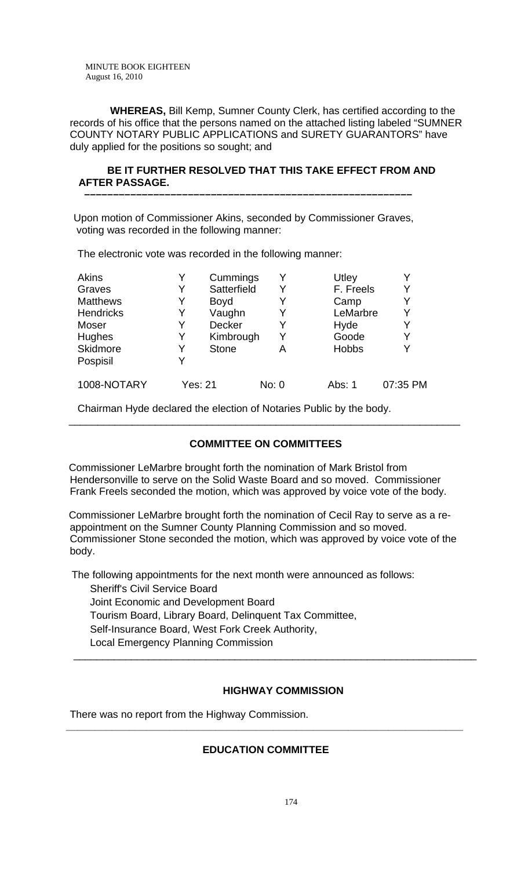**WHEREAS,** Bill Kemp, Sumner County Clerk, has certified according to the records of his office that the persons named on the attached listing labeled "SUMNER COUNTY NOTARY PUBLIC APPLICATIONS and SURETY GUARANTORS" have duly applied for the positions so sought; and

## **BE IT FURTHER RESOLVED THAT THIS TAKE EFFECT FROM AND AFTER PASSAGE.**

Upon motion of Commissioner Akins, seconded by Commissioner Graves, voting was recorded in the following manner:

 **–––––––––––––––––––––––––––––––––––––––––––––––––––––––––**

The electronic vote was recorded in the following manner:

| <b>Akins</b>     |         | Cummings     |       | Utley        | Y        |
|------------------|---------|--------------|-------|--------------|----------|
| Graves           | Y       | Satterfield  |       | F. Freels    | Y        |
| <b>Matthews</b>  | Y       | <b>Boyd</b>  |       | Camp         | Y        |
| <b>Hendricks</b> | Y       | Vaughn       | Y     | LeMarbre     | Y        |
| Moser            | Y       | Decker       | Y     | Hyde         | Y        |
| Hughes           | Y       | Kimbrough    |       | Goode        | Y        |
| Skidmore         | Y       | <b>Stone</b> | Α     | <b>Hobbs</b> | Y        |
| Pospisil         | Y       |              |       |              |          |
| 1008-NOTARY      | Yes: 21 |              | No: 0 | Abs: 1       | 07:35 PM |

Chairman Hyde declared the election of Notaries Public by the body.

# **COMMITTEE ON COMMITTEES**

\_\_\_\_\_\_\_\_\_\_\_\_\_\_\_\_\_\_\_\_\_\_\_\_\_\_\_\_\_\_\_\_\_\_\_\_\_\_\_\_\_\_\_\_\_\_\_\_\_\_\_\_\_\_\_\_\_\_\_\_\_\_\_\_\_\_\_\_

 Commissioner LeMarbre brought forth the nomination of Mark Bristol from Hendersonville to serve on the Solid Waste Board and so moved. Commissioner Frank Freels seconded the motion, which was approved by voice vote of the body.

 Commissioner LeMarbre brought forth the nomination of Cecil Ray to serve as a reappointment on the Sumner County Planning Commission and so moved. Commissioner Stone seconded the motion, which was approved by voice vote of the body.

 The following appointments for the next month were announced as follows: Sheriff's Civil Service Board Joint Economic and Development Board Tourism Board, Library Board, Delinquent Tax Committee, Self-Insurance Board, West Fork Creek Authority, Local Emergency Planning Commission \_\_\_\_\_\_\_\_\_\_\_\_\_\_\_\_\_\_\_\_\_\_\_\_\_\_\_\_\_\_\_\_\_\_\_\_\_\_\_\_\_\_\_\_\_\_\_\_\_\_\_\_\_\_\_\_\_\_\_\_\_\_\_\_\_\_\_\_\_\_

## **HIGHWAY COMMISSION**

There was no report from the Highway Commission.

# **EDUCATION COMMITTEE**

**\_\_\_\_\_\_\_\_\_\_\_\_\_\_\_\_\_\_\_\_\_\_\_\_\_\_\_\_\_\_\_\_\_\_\_\_\_\_\_\_\_\_\_\_\_\_\_\_\_\_\_\_\_\_\_\_\_\_\_\_\_\_\_\_\_\_\_\_\_**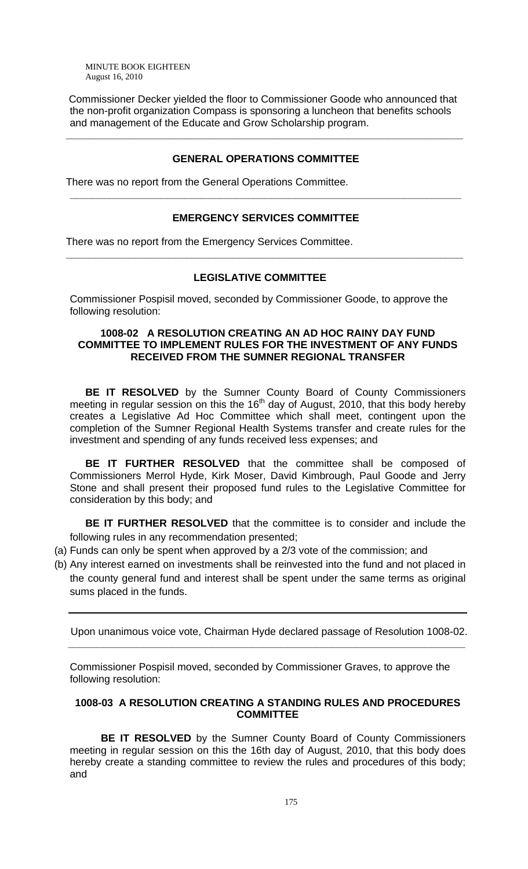Commissioner Decker yielded the floor to Commissioner Goode who announced that the non-profit organization Compass is sponsoring a luncheon that benefits schools and management of the Educate and Grow Scholarship program.

## **GENERAL OPERATIONS COMMITTEE**

**\_\_\_\_\_\_\_\_\_\_\_\_\_\_\_\_\_\_\_\_\_\_\_\_\_\_\_\_\_\_\_\_\_\_\_\_\_\_\_\_\_\_\_\_\_\_\_\_\_\_\_\_\_\_\_\_\_\_\_\_\_\_\_\_\_\_\_\_\_** 

There was no report from the General Operations Committee.

## **EMERGENCY SERVICES COMMITTEE**

**\_\_\_\_\_\_\_\_\_\_\_\_\_\_\_\_\_\_\_\_\_\_\_\_\_\_\_\_\_\_\_\_\_\_\_\_\_\_\_\_\_\_\_\_\_\_\_\_\_\_\_\_\_\_\_\_\_\_\_\_\_\_\_\_\_\_\_\_\_** 

**\_\_\_\_\_\_\_\_\_\_\_\_\_\_\_\_\_\_\_\_\_\_\_\_\_\_\_\_\_\_\_\_\_\_\_\_\_\_\_\_\_\_\_\_\_\_\_\_\_\_\_\_\_\_\_\_\_\_\_\_\_\_\_\_\_\_\_\_** 

There was no report from the Emergency Services Committee.

## **LEGISLATIVE COMMITTEE**

Commissioner Pospisil moved, seconded by Commissioner Goode, to approve the following resolution:

## **1008-02 A RESOLUTION CREATING AN AD HOC RAINY DAY FUND COMMITTEE TO IMPLEMENT RULES FOR THE INVESTMENT OF ANY FUNDS RECEIVED FROM THE SUMNER REGIONAL TRANSFER**

 **BE IT RESOLVED** by the Sumner County Board of County Commissioners meeting in regular session on this the  $16<sup>th</sup>$  day of August, 2010, that this body hereby creates a Legislative Ad Hoc Committee which shall meet, contingent upon the completion of the Sumner Regional Health Systems transfer and create rules for the investment and spending of any funds received less expenses; and

**BE IT FURTHER RESOLVED** that the committee shall be composed of Commissioners Merrol Hyde, Kirk Moser, David Kimbrough, Paul Goode and Jerry Stone and shall present their proposed fund rules to the Legislative Committee for consideration by this body; and

**BE IT FURTHER RESOLVED** that the committee is to consider and include the following rules in any recommendation presented;

- (a) Funds can only be spent when approved by a 2/3 vote of the commission; and
- (b) Any interest earned on investments shall be reinvested into the fund and not placed in the county general fund and interest shall be spent under the same terms as original sums placed in the funds.

Upon unanimous voice vote, Chairman Hyde declared passage of Resolution 1008-02.

Commissioner Pospisil moved, seconded by Commissioner Graves, to approve the following resolution:

 **\_\_\_\_\_\_\_\_\_\_\_\_\_\_\_\_\_\_\_\_\_\_\_\_\_\_\_\_\_\_\_\_\_\_\_\_\_\_\_\_\_\_\_\_\_\_\_\_\_\_\_\_\_\_\_\_\_\_\_\_\_\_\_\_\_\_\_\_\_** 

## **1008-03 A RESOLUTION CREATING A STANDING RULES AND PROCEDURES COMMITTEE**

**BE IT RESOLVED** by the Sumner County Board of County Commissioners meeting in regular session on this the 16th day of August, 2010, that this body does hereby create a standing committee to review the rules and procedures of this body; and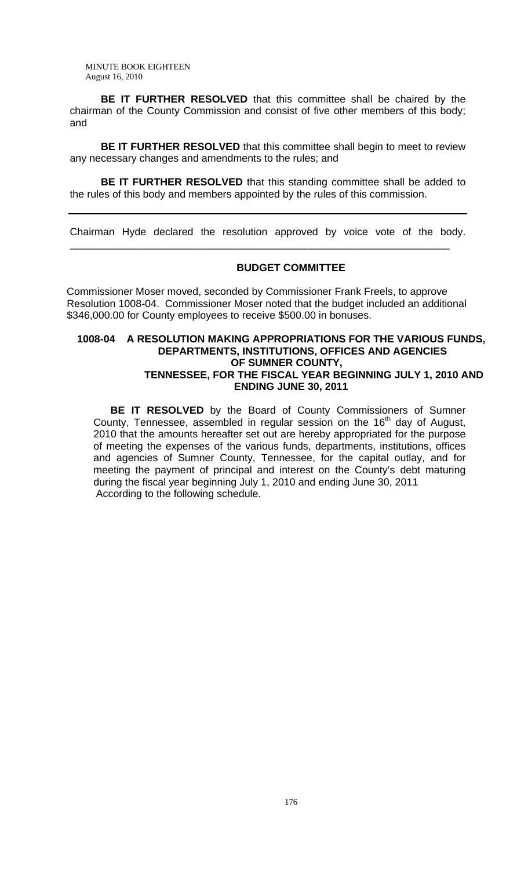**BE IT FURTHER RESOLVED** that this committee shall be chaired by the chairman of the County Commission and consist of five other members of this body; and

**BE IT FURTHER RESOLVED** that this committee shall begin to meet to review any necessary changes and amendments to the rules; and

**BE IT FURTHER RESOLVED** that this standing committee shall be added to the rules of this body and members appointed by the rules of this commission.

Chairman Hyde declared the resolution approved by voice vote of the body.

\_\_\_\_\_\_\_\_\_\_\_\_\_\_\_\_\_\_\_\_\_\_\_\_\_\_\_\_\_\_\_\_\_\_\_\_\_\_\_\_\_\_\_\_\_\_\_\_\_\_\_\_\_\_\_\_\_\_\_\_\_\_\_\_\_\_

## **BUDGET COMMITTEE**

 Commissioner Moser moved, seconded by Commissioner Frank Freels, to approve Resolution 1008-04. Commissioner Moser noted that the budget included an additional \$346,000.00 for County employees to receive \$500.00 in bonuses.

#### **1008-04 A RESOLUTION MAKING APPROPRIATIONS FOR THE VARIOUS FUNDS, DEPARTMENTS, INSTITUTIONS, OFFICES AND AGENCIES OF SUMNER COUNTY, TENNESSEE, FOR THE FISCAL YEAR BEGINNING JULY 1, 2010 AND ENDING JUNE 30, 2011**

 **BE IT RESOLVED** by the Board of County Commissioners of Sumner County, Tennessee, assembled in regular session on the  $16<sup>th</sup>$  day of August, 2010 that the amounts hereafter set out are hereby appropriated for the purpose of meeting the expenses of the various funds, departments, institutions, offices and agencies of Sumner County, Tennessee, for the capital outlay, and for meeting the payment of principal and interest on the County's debt maturing during the fiscal year beginning July 1, 2010 and ending June 30, 2011 According to the following schedule.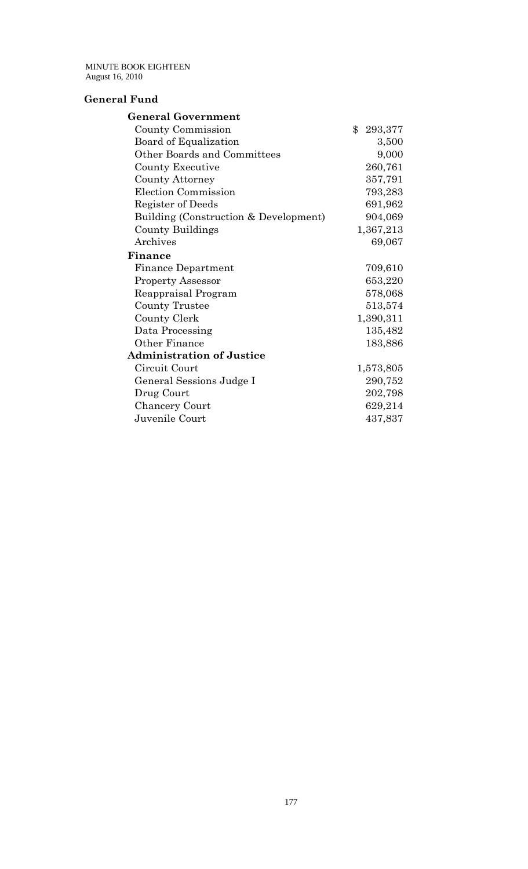# **General Fund**

| <b>General Government</b>             |                  |
|---------------------------------------|------------------|
| County Commission                     | $\$\$<br>293,377 |
| Board of Equalization                 | 3,500            |
| Other Boards and Committees           | 9,000            |
| County Executive                      | 260,761          |
| <b>County Attorney</b>                | 357,791          |
| Election Commission                   | 793,283          |
| Register of Deeds                     | 691,962          |
| Building (Construction & Development) | 904,069          |
| <b>County Buildings</b>               | 1,367,213        |
| Archives                              | 69,067           |
| Finance                               |                  |
| <b>Finance Department</b>             | 709,610          |
| <b>Property Assessor</b>              | 653,220          |
| Reappraisal Program                   | 578,068          |
| County Trustee                        | 513,574          |
| County Clerk                          | 1,390,311        |
| Data Processing                       | 135,482          |
| Other Finance                         | 183,886          |
| <b>Administration of Justice</b>      |                  |
| Circuit Court                         | 1,573,805        |
| General Sessions Judge I              | 290,752          |
| Drug Court                            | 202,798          |
| <b>Chancery Court</b>                 | 629,214          |
| Juvenile Court                        | 437,837          |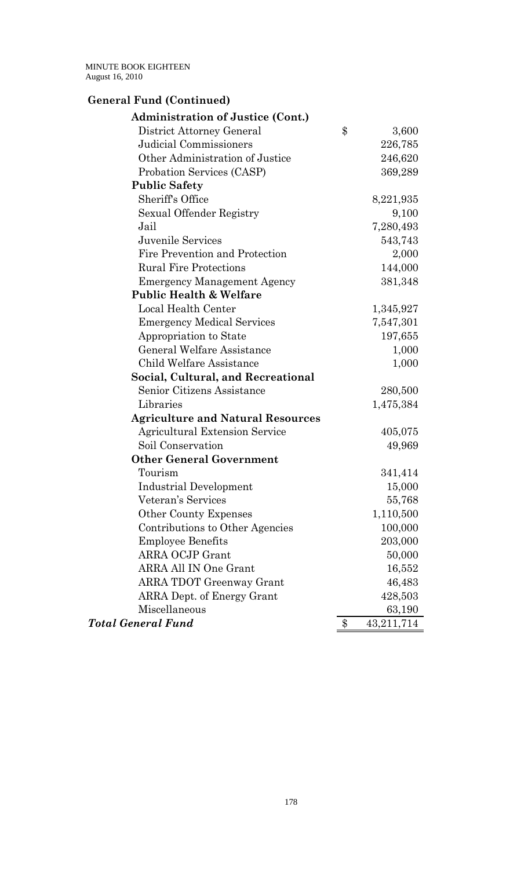# **General Fund (Continued)**

| <b>Administration of Justice (Cont.)</b> |                    |
|------------------------------------------|--------------------|
| District Attorney General                | \$<br>3,600        |
| <b>Judicial Commissioners</b>            | 226,785            |
| Other Administration of Justice          | 246,620            |
| Probation Services (CASP)                | 369,289            |
| <b>Public Safety</b>                     |                    |
| Sheriff's Office                         | 8,221,935          |
| Sexual Offender Registry                 | 9,100              |
| Jail                                     | 7,280,493          |
| Juvenile Services                        | 543,743            |
| Fire Prevention and Protection           | 2,000              |
| <b>Rural Fire Protections</b>            | 144,000            |
| <b>Emergency Management Agency</b>       | 381,348            |
| <b>Public Health &amp; Welfare</b>       |                    |
| Local Health Center                      | 1,345,927          |
| <b>Emergency Medical Services</b>        | 7,547,301          |
| Appropriation to State                   | 197,655            |
| <b>General Welfare Assistance</b>        | 1,000              |
| Child Welfare Assistance                 | 1,000              |
| Social, Cultural, and Recreational       |                    |
| Senior Citizens Assistance               | 280,500            |
| Libraries                                | 1,475,384          |
| <b>Agriculture and Natural Resources</b> |                    |
| <b>Agricultural Extension Service</b>    | 405,075            |
| Soil Conservation                        | 49,969             |
| <b>Other General Government</b>          |                    |
| Tourism                                  | 341,414            |
| Industrial Development                   | 15,000             |
| Veteran's Services                       | 55,768             |
| <b>Other County Expenses</b>             | 1,110,500          |
| Contributions to Other Agencies          | 100,000            |
| <b>Employee Benefits</b>                 | 203,000            |
| <b>ARRA OCJP Grant</b>                   | 50,000             |
| <b>ARRA All IN One Grant</b>             | 16,552             |
| <b>ARRA TDOT Greenway Grant</b>          | 46,483             |
| ARRA Dept. of Energy Grant               | 428,503            |
| Miscellaneous                            | 63,190             |
| <b>Total General Fund</b>                | \$<br>43, 211, 714 |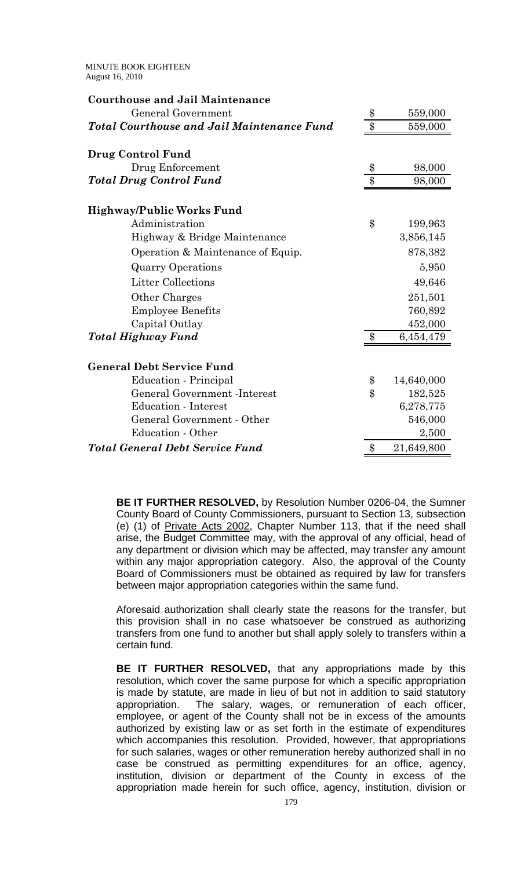| <b>Courthouse and Jail Maintenance</b>            |                    |            |
|---------------------------------------------------|--------------------|------------|
| General Government                                | $\frac{1}{2}$      | 559,000    |
| <b>Total Courthouse and Jail Maintenance Fund</b> | $\overline{\$\}$   | 559,000    |
| Drug Control Fund                                 |                    |            |
| Drug Enforcement                                  | \$                 | 98,000     |
| <b>Total Drug Control Fund</b>                    | $\$\$              | 98,000     |
| Highway/Public Works Fund                         |                    |            |
| Administration                                    | \$                 | 199,963    |
| Highway & Bridge Maintenance                      |                    | 3,856,145  |
| Operation & Maintenance of Equip.                 |                    | 878,382    |
| <b>Quarry Operations</b>                          |                    | 5,950      |
| <b>Litter Collections</b>                         |                    | 49,646     |
| Other Charges                                     |                    | 251,501    |
| <b>Employee Benefits</b>                          |                    | 760,892    |
| Capital Outlay                                    |                    | 452,000    |
| <b>Total Highway Fund</b>                         | $\boldsymbol{\$}$  | 6,454,479  |
| <b>General Debt Service Fund</b>                  |                    |            |
| Education - Principal                             | \$                 | 14,640,000 |
| General Government - Interest                     | $\boldsymbol{\$\}$ | 182,525    |
| Education - Interest                              |                    | 6,278,775  |
| General Government - Other                        |                    | 546,000    |
| Education - Other                                 |                    | 2,500      |
| <b>Total General Debt Service Fund</b>            | \$                 | 21,649,800 |

**BE IT FURTHER RESOLVED,** by Resolution Number 0206-04, the Sumner County Board of County Commissioners, pursuant to Section 13, subsection (e) (1) of Private Acts 2002, Chapter Number 113, that if the need shall arise, the Budget Committee may, with the approval of any official, head of any department or division which may be affected, may transfer any amount within any major appropriation category. Also, the approval of the County Board of Commissioners must be obtained as required by law for transfers between major appropriation categories within the same fund.

Aforesaid authorization shall clearly state the reasons for the transfer, but this provision shall in no case whatsoever be construed as authorizing transfers from one fund to another but shall apply solely to transfers within a certain fund.

**BE IT FURTHER RESOLVED,** that any appropriations made by this resolution, which cover the same purpose for which a specific appropriation is made by statute, are made in lieu of but not in addition to said statutory appropriation. The salary, wages, or remuneration of each officer, employee, or agent of the County shall not be in excess of the amounts authorized by existing law or as set forth in the estimate of expenditures which accompanies this resolution. Provided, however, that appropriations for such salaries, wages or other remuneration hereby authorized shall in no case be construed as permitting expenditures for an office, agency, institution, division or department of the County in excess of the appropriation made herein for such office, agency, institution, division or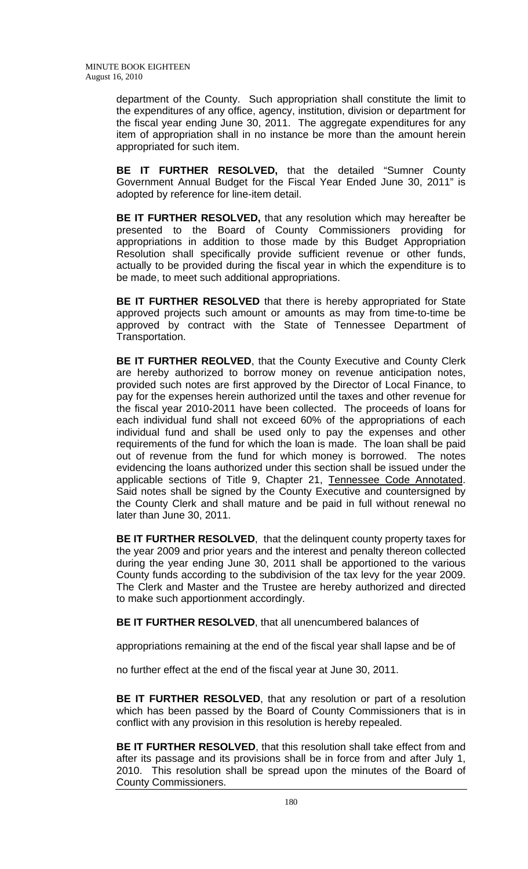department of the County. Such appropriation shall constitute the limit to the expenditures of any office, agency, institution, division or department for the fiscal year ending June 30, 2011. The aggregate expenditures for any item of appropriation shall in no instance be more than the amount herein appropriated for such item.

**BE IT FURTHER RESOLVED,** that the detailed "Sumner County Government Annual Budget for the Fiscal Year Ended June 30, 2011" is adopted by reference for line-item detail.

**BE IT FURTHER RESOLVED,** that any resolution which may hereafter be presented to the Board of County Commissioners providing for appropriations in addition to those made by this Budget Appropriation Resolution shall specifically provide sufficient revenue or other funds, actually to be provided during the fiscal year in which the expenditure is to be made, to meet such additional appropriations.

**BE IT FURTHER RESOLVED** that there is hereby appropriated for State approved projects such amount or amounts as may from time-to-time be approved by contract with the State of Tennessee Department of Transportation.

**BE IT FURTHER REOLVED**, that the County Executive and County Clerk are hereby authorized to borrow money on revenue anticipation notes, provided such notes are first approved by the Director of Local Finance, to pay for the expenses herein authorized until the taxes and other revenue for the fiscal year 2010-2011 have been collected. The proceeds of loans for each individual fund shall not exceed 60% of the appropriations of each individual fund and shall be used only to pay the expenses and other requirements of the fund for which the loan is made. The loan shall be paid out of revenue from the fund for which money is borrowed. The notes evidencing the loans authorized under this section shall be issued under the applicable sections of Title 9, Chapter 21, Tennessee Code Annotated. Said notes shall be signed by the County Executive and countersigned by the County Clerk and shall mature and be paid in full without renewal no later than June 30, 2011.

**BE IT FURTHER RESOLVED**, that the delinquent county property taxes for the year 2009 and prior years and the interest and penalty thereon collected during the year ending June 30, 2011 shall be apportioned to the various County funds according to the subdivision of the tax levy for the year 2009. The Clerk and Master and the Trustee are hereby authorized and directed to make such apportionment accordingly.

**BE IT FURTHER RESOLVED**, that all unencumbered balances of

appropriations remaining at the end of the fiscal year shall lapse and be of

no further effect at the end of the fiscal year at June 30, 2011.

**BE IT FURTHER RESOLVED**, that any resolution or part of a resolution which has been passed by the Board of County Commissioners that is in conflict with any provision in this resolution is hereby repealed.

**BE IT FURTHER RESOLVED**, that this resolution shall take effect from and after its passage and its provisions shall be in force from and after July 1, 2010. This resolution shall be spread upon the minutes of the Board of County Commissioners.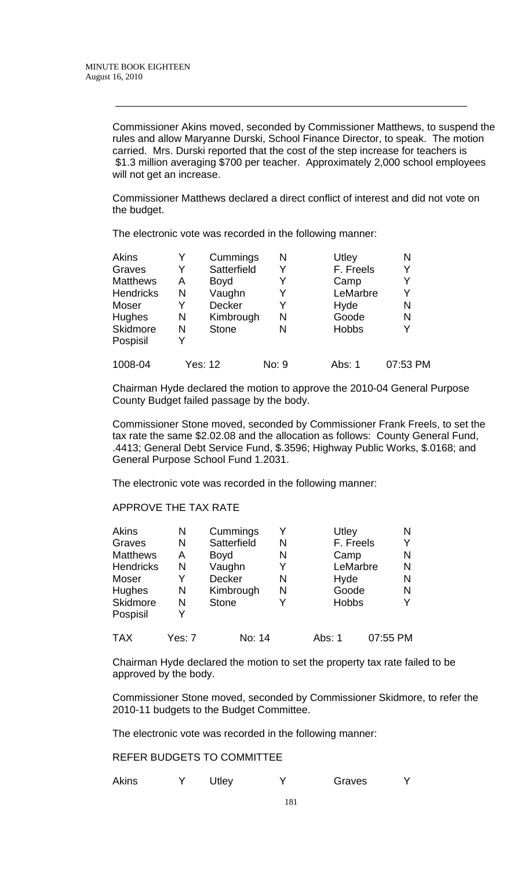Commissioner Akins moved, seconded by Commissioner Matthews, to suspend the rules and allow Maryanne Durski, School Finance Director, to speak. The motion carried. Mrs. Durski reported that the cost of the step increase for teachers is \$1.3 million averaging \$700 per teacher. Approximately 2,000 school employees will not get an increase.

Commissioner Matthews declared a direct conflict of interest and did not vote on the budget.

The electronic vote was recorded in the following manner:

| Akins            |   | Cummings       | N     | Utley        | N        |
|------------------|---|----------------|-------|--------------|----------|
| Graves           | Y | Satterfield    | Y     | F. Freels    | Y        |
| <b>Matthews</b>  | A | <b>Boyd</b>    | Y     | Camp         | Y        |
| <b>Hendricks</b> | N | Vaughn         | Y     | LeMarbre     | Y        |
| Moser            | Y | <b>Decker</b>  | Y     | Hyde         | N        |
| <b>Hughes</b>    | N | Kimbrough      | N     | Goode        | N        |
| <b>Skidmore</b>  | N | <b>Stone</b>   | N     | <b>Hobbs</b> | Y        |
| Pospisil         | Y |                |       |              |          |
| 1008-04          |   | <b>Yes: 12</b> | No: 9 | Abs: 1       | 07:53 PM |
|                  |   |                |       |              |          |

Chairman Hyde declared the motion to approve the 2010-04 General Purpose County Budget failed passage by the body.

Commissioner Stone moved, seconded by Commissioner Frank Freels, to set the tax rate the same \$2.02.08 and the allocation as follows: County General Fund, .4413; General Debt Service Fund, \$.3596; Highway Public Works, \$.0168; and General Purpose School Fund 1.2031.

The electronic vote was recorded in the following manner:

## APPROVE THE TAX RATE

| <b>Akins</b>     | N      | Cummings      | Y | Utley        | Ν        |
|------------------|--------|---------------|---|--------------|----------|
| Graves           | N      | Satterfield   | N | F. Freels    | Y        |
| <b>Matthews</b>  | Α      | <b>Boyd</b>   | N | Camp         | N        |
| <b>Hendricks</b> | N      | Vaughn        | Y | LeMarbre     | N        |
| Moser            | Y      | <b>Decker</b> | N | Hyde         | N        |
| Hughes           | N      | Kimbrough     | N | Goode        | N        |
| Skidmore         | N      | <b>Stone</b>  | Y | <b>Hobbs</b> |          |
| Pospisil         |        |               |   |              |          |
| <b>TAX</b>       | Yes: 7 | No: 14        |   | Abs: 1       | 07:55 PM |

Chairman Hyde declared the motion to set the property tax rate failed to be approved by the body.

Commissioner Stone moved, seconded by Commissioner Skidmore, to refer the 2010-11 budgets to the Budget Committee.

The electronic vote was recorded in the following manner:

REFER BUDGETS TO COMMITTEE

|  | <b>Akins</b> |  | <b>Jtley</b> |  | Graves |  |
|--|--------------|--|--------------|--|--------|--|
|--|--------------|--|--------------|--|--------|--|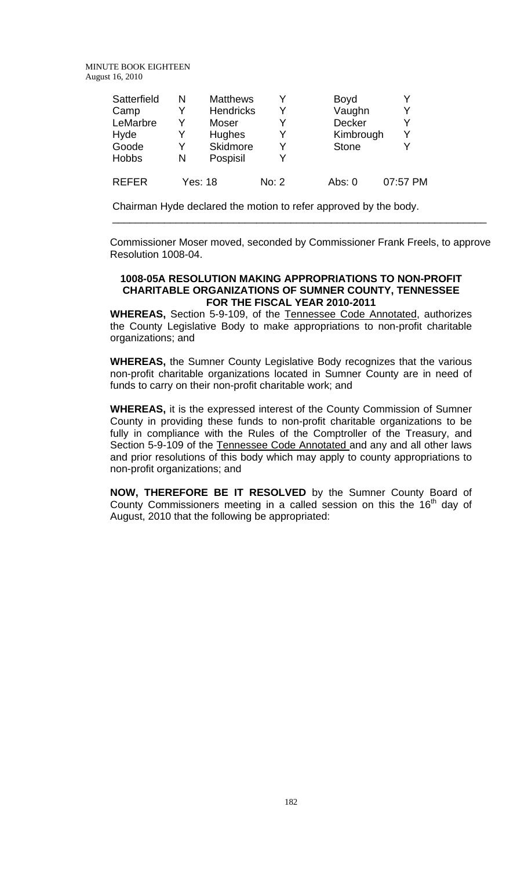| Satterfield  | N | <b>Matthews</b>  | Y     | <b>Boyd</b>  |          |
|--------------|---|------------------|-------|--------------|----------|
| Camp         | Y | <b>Hendricks</b> | Y     | Vaughn       | v        |
| LeMarbre     | v | Moser            | Y     | Decker       | v        |
| Hyde         | Y | <b>Hughes</b>    | Y     | Kimbrough    |          |
| Goode        | Y | Skidmore         | v     | <b>Stone</b> |          |
| <b>Hobbs</b> | N | Pospisil         | Y     |              |          |
| <b>RFFFR</b> |   | Yes: 18          | No: 2 | Abs: $0$     | 07:57 PM |

Chairman Hyde declared the motion to refer approved by the body.

 Commissioner Moser moved, seconded by Commissioner Frank Freels, to approve Resolution 1008-04.

\_\_\_\_\_\_\_\_\_\_\_\_\_\_\_\_\_\_\_\_\_\_\_\_\_\_\_\_\_\_\_\_\_\_\_\_\_\_\_\_\_\_\_\_\_\_\_\_\_\_\_\_\_\_\_\_\_\_\_\_\_\_\_\_\_

#### **1008-05A RESOLUTION MAKING APPROPRIATIONS TO NON-PROFIT CHARITABLE ORGANIZATIONS OF SUMNER COUNTY, TENNESSEE FOR THE FISCAL YEAR 2010-2011**

**WHEREAS,** Section 5-9-109, of the Tennessee Code Annotated, authorizes the County Legislative Body to make appropriations to non-profit charitable organizations; and

**WHEREAS,** the Sumner County Legislative Body recognizes that the various non-profit charitable organizations located in Sumner County are in need of funds to carry on their non-profit charitable work; and

**WHEREAS,** it is the expressed interest of the County Commission of Sumner County in providing these funds to non-profit charitable organizations to be fully in compliance with the Rules of the Comptroller of the Treasury, and Section 5-9-109 of the Tennessee Code Annotated and any and all other laws and prior resolutions of this body which may apply to county appropriations to non-profit organizations; and

**NOW, THEREFORE BE IT RESOLVED** by the Sumner County Board of County Commissioners meeting in a called session on this the  $16<sup>th</sup>$  day of August, 2010 that the following be appropriated: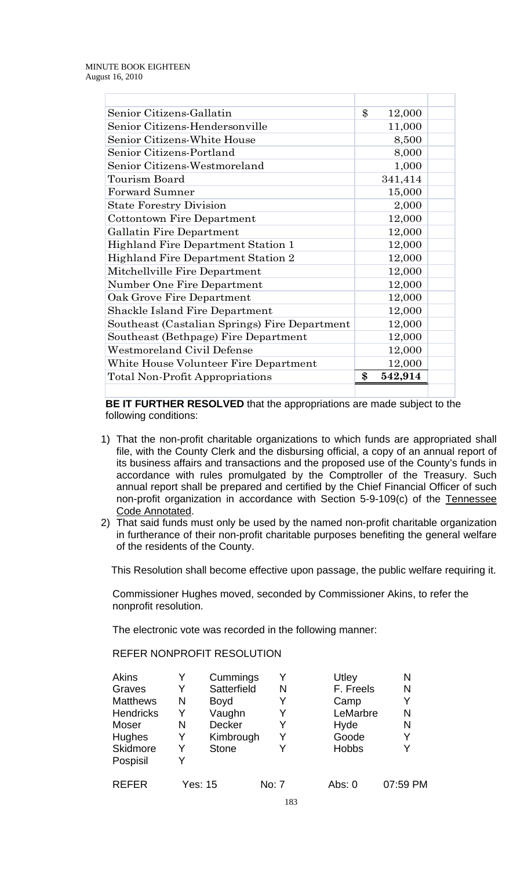| Senior Citizens-Gallatin                      | \$<br>12,000  |  |
|-----------------------------------------------|---------------|--|
| Senior Citizens-Hendersonville                | 11,000        |  |
| Senior Citizens-White House                   | 8,500         |  |
| Senior Citizens-Portland                      | 8,000         |  |
| Senior Citizens-Westmoreland                  | 1,000         |  |
| Tourism Board                                 | 341,414       |  |
| <b>Forward Sumner</b>                         | 15,000        |  |
| <b>State Forestry Division</b>                | 2,000         |  |
| Cottontown Fire Department                    | 12,000        |  |
| Gallatin Fire Department                      | 12,000        |  |
| <b>Highland Fire Department Station 1</b>     | 12,000        |  |
| <b>Highland Fire Department Station 2</b>     | 12,000        |  |
| Mitchellville Fire Department                 | 12,000        |  |
| Number One Fire Department                    | 12,000        |  |
| Oak Grove Fire Department                     | 12,000        |  |
| <b>Shackle Island Fire Department</b>         | 12,000        |  |
| Southeast (Castalian Springs) Fire Department | 12,000        |  |
| Southeast (Bethpage) Fire Department          | 12,000        |  |
| Westmoreland Civil Defense                    | 12,000        |  |
| White House Volunteer Fire Department         | 12,000        |  |
| <b>Total Non-Profit Appropriations</b>        | \$<br>542,914 |  |
|                                               |               |  |

 **BE IT FURTHER RESOLVED** that the appropriations are made subject to the following conditions:

- 1) That the non-profit charitable organizations to which funds are appropriated shall file, with the County Clerk and the disbursing official, a copy of an annual report of its business affairs and transactions and the proposed use of the County's funds in accordance with rules promulgated by the Comptroller of the Treasury. Such annual report shall be prepared and certified by the Chief Financial Officer of such non-profit organization in accordance with Section 5-9-109(c) of the Tennessee Code Annotated.
- 2) That said funds must only be used by the named non-profit charitable organization in furtherance of their non-profit charitable purposes benefiting the general welfare of the residents of the County.

This Resolution shall become effective upon passage, the public welfare requiring it.

Commissioner Hughes moved, seconded by Commissioner Akins, to refer the nonprofit resolution.

The electronic vote was recorded in the following manner:

## REFER NONPROFIT RESOLUTION

| <b>Akins</b>     | Y | Cummings     | Y                    | Utley        | N        |
|------------------|---|--------------|----------------------|--------------|----------|
| Graves           | Y | Satterfield  | N                    | F. Freels    | N        |
| <b>Matthews</b>  | N | <b>Boyd</b>  | Y                    | Camp         | Y        |
| <b>Hendricks</b> | Y | Vaughn       | Y                    | LeMarbre     | N        |
| Moser            | N | Decker       | Y                    | Hyde         | N        |
| Hughes           | Y | Kimbrough    | Y                    | Goode        | Y        |
| <b>Skidmore</b>  | Y | <b>Stone</b> | Y                    | <b>Hobbs</b> |          |
| Pospisil         | Y |              |                      |              |          |
| <b>REFER</b>     |   | Yes: 15      | No: 7                | Abs: 0       | 07:59 PM |
|                  |   |              | $\sim$ $\sim$ $\sim$ |              |          |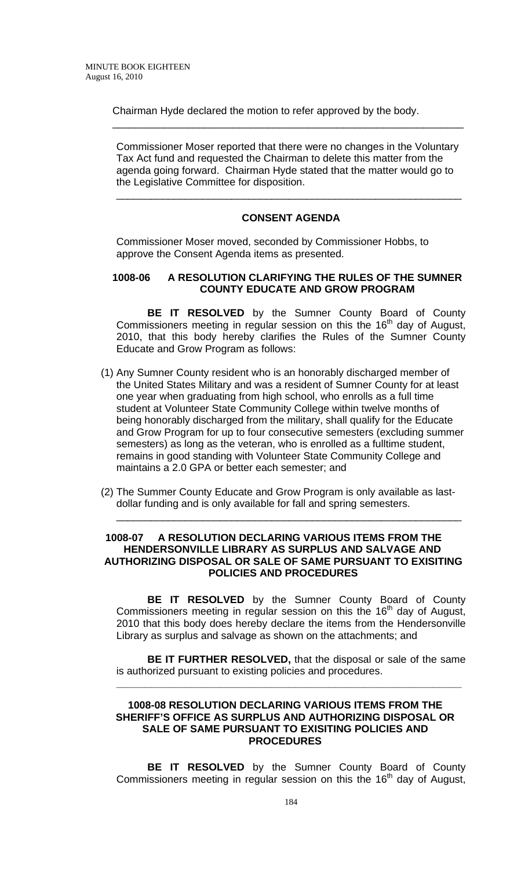Chairman Hyde declared the motion to refer approved by the body.

Commissioner Moser reported that there were no changes in the Voluntary Tax Act fund and requested the Chairman to delete this matter from the agenda going forward. Chairman Hyde stated that the matter would go to the Legislative Committee for disposition.

\_\_\_\_\_\_\_\_\_\_\_\_\_\_\_\_\_\_\_\_\_\_\_\_\_\_\_\_\_\_\_\_\_\_\_\_\_\_\_\_\_\_\_\_\_\_\_\_\_\_\_\_\_\_\_\_\_\_\_\_\_

# **CONSENT AGENDA**

\_\_\_\_\_\_\_\_\_\_\_\_\_\_\_\_\_\_\_\_\_\_\_\_\_\_\_\_\_\_\_\_\_\_\_\_\_\_\_\_\_\_\_\_\_\_\_\_\_\_\_\_\_\_\_\_\_\_\_\_

Commissioner Moser moved, seconded by Commissioner Hobbs, to approve the Consent Agenda items as presented.

#### **1008-06 A RESOLUTION CLARIFYING THE RULES OF THE SUMNER COUNTY EDUCATE AND GROW PROGRAM**

**BE IT RESOLVED** by the Sumner County Board of County Commissioners meeting in regular session on this the 16<sup>th</sup> day of August, 2010, that this body hereby clarifies the Rules of the Sumner County Educate and Grow Program as follows:

- (1) Any Sumner County resident who is an honorably discharged member of the United States Military and was a resident of Sumner County for at least one year when graduating from high school, who enrolls as a full time student at Volunteer State Community College within twelve months of being honorably discharged from the military, shall qualify for the Educate and Grow Program for up to four consecutive semesters (excluding summer semesters) as long as the veteran, who is enrolled as a fulltime student, remains in good standing with Volunteer State Community College and maintains a 2.0 GPA or better each semester; and
- (2) The Summer County Educate and Grow Program is only available as lastdollar funding and is only available for fall and spring semesters.

#### **1008-07 A RESOLUTION DECLARING VARIOUS ITEMS FROM THE HENDERSONVILLE LIBRARY AS SURPLUS AND SALVAGE AND AUTHORIZING DISPOSAL OR SALE OF SAME PURSUANT TO EXISITING POLICIES AND PROCEDURES**

\_\_\_\_\_\_\_\_\_\_\_\_\_\_\_\_\_\_\_\_\_\_\_\_\_\_\_\_\_\_\_\_\_\_\_\_\_\_\_\_\_\_\_\_\_\_\_\_\_\_\_\_\_\_\_\_\_\_\_\_

 **BE IT RESOLVED** by the Sumner County Board of County Commissioners meeting in regular session on this the 16<sup>th</sup> day of August, 2010 that this body does hereby declare the items from the Hendersonville Library as surplus and salvage as shown on the attachments; and

**BE IT FURTHER RESOLVED,** that the disposal or sale of the same is authorized pursuant to existing policies and procedures.

**\_\_\_\_\_\_\_\_\_\_\_\_\_\_\_\_\_\_\_\_\_\_\_\_\_\_\_\_\_\_\_\_\_\_\_\_\_\_\_\_\_\_\_\_\_\_\_\_\_\_\_\_\_\_\_\_\_\_\_\_**

## **1008-08 RESOLUTION DECLARING VARIOUS ITEMS FROM THE SHERIFF'S OFFICE AS SURPLUS AND AUTHORIZING DISPOSAL OR SALE OF SAME PURSUANT TO EXISITING POLICIES AND PROCEDURES**

 **BE IT RESOLVED** by the Sumner County Board of County Commissioners meeting in regular session on this the 16<sup>th</sup> day of August,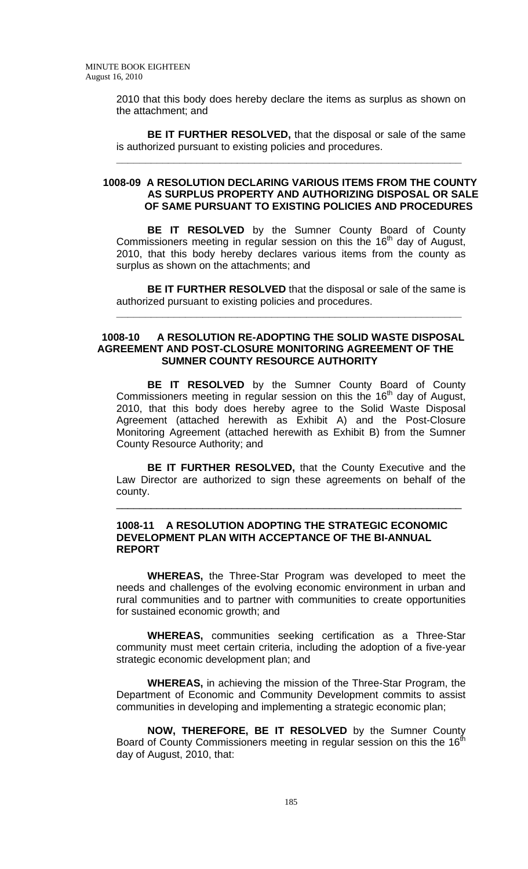> 2010 that this body does hereby declare the items as surplus as shown on the attachment; and

> **BE IT FURTHER RESOLVED,** that the disposal or sale of the same is authorized pursuant to existing policies and procedures.

**\_\_\_\_\_\_\_\_\_\_\_\_\_\_\_\_\_\_\_\_\_\_\_\_\_\_\_\_\_\_\_\_\_\_\_\_\_\_\_\_\_\_\_\_\_\_\_\_\_\_\_\_\_\_\_\_\_\_\_\_**

#### **1008-09 A RESOLUTION DECLARING VARIOUS ITEMS FROM THE COUNTY AS SURPLUS PROPERTY AND AUTHORIZING DISPOSAL OR SALE OF SAME PURSUANT TO EXISTING POLICIES AND PROCEDURES**

**BE IT RESOLVED** by the Sumner County Board of County Commissioners meeting in regular session on this the 16<sup>th</sup> day of August, 2010, that this body hereby declares various items from the county as surplus as shown on the attachments; and

**BE IT FURTHER RESOLVED** that the disposal or sale of the same is authorized pursuant to existing policies and procedures.

**\_\_\_\_\_\_\_\_\_\_\_\_\_\_\_\_\_\_\_\_\_\_\_\_\_\_\_\_\_\_\_\_\_\_\_\_\_\_\_\_\_\_\_\_\_\_\_\_\_\_\_\_\_\_\_\_\_\_\_\_**

#### **1008-10 A RESOLUTION RE-ADOPTING THE SOLID WASTE DISPOSAL AGREEMENT AND POST-CLOSURE MONITORING AGREEMENT OF THE SUMNER COUNTY RESOURCE AUTHORITY**

**BE IT RESOLVED** by the Sumner County Board of County Commissioners meeting in regular session on this the 16<sup>th</sup> day of August, 2010, that this body does hereby agree to the Solid Waste Disposal Agreement (attached herewith as Exhibit A) and the Post-Closure Monitoring Agreement (attached herewith as Exhibit B) from the Sumner County Resource Authority; and

**BE IT FURTHER RESOLVED,** that the County Executive and the Law Director are authorized to sign these agreements on behalf of the county.

\_\_\_\_\_\_\_\_\_\_\_\_\_\_\_\_\_\_\_\_\_\_\_\_\_\_\_\_\_\_\_\_\_\_\_\_\_\_\_\_\_\_\_\_\_\_\_\_\_\_\_\_\_\_\_\_\_\_\_\_

## **1008-11 A RESOLUTION ADOPTING THE STRATEGIC ECONOMIC DEVELOPMENT PLAN WITH ACCEPTANCE OF THE BI-ANNUAL REPORT**

 **WHEREAS,** the Three-Star Program was developed to meet the needs and challenges of the evolving economic environment in urban and rural communities and to partner with communities to create opportunities for sustained economic growth; and

**WHEREAS,** communities seeking certification as a Three-Star community must meet certain criteria, including the adoption of a five-year strategic economic development plan; and

**WHEREAS,** in achieving the mission of the Three-Star Program, the Department of Economic and Community Development commits to assist communities in developing and implementing a strategic economic plan;

**NOW, THEREFORE, BE IT RESOLVED** by the Sumner County Board of County Commissioners meeting in regular session on this the 16<sup>th</sup> day of August, 2010, that: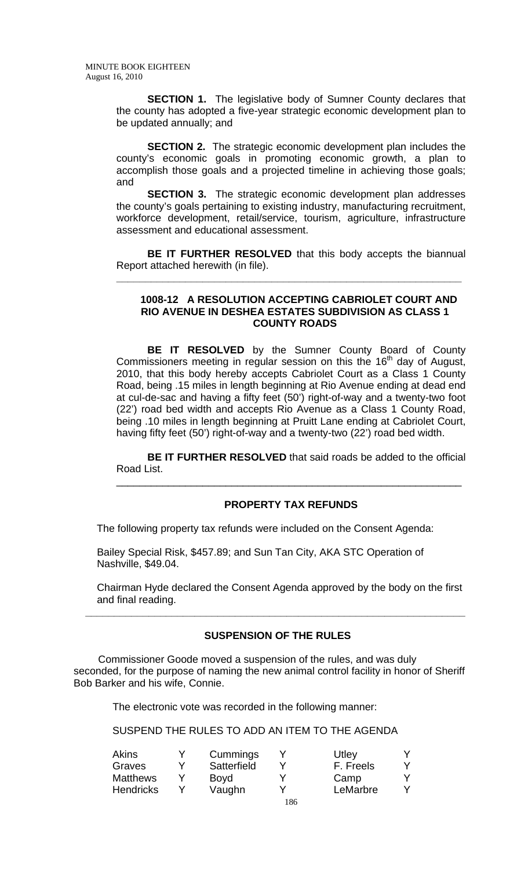**SECTION 1.** The legislative body of Sumner County declares that the county has adopted a five-year strategic economic development plan to be updated annually; and

**SECTION 2.** The strategic economic development plan includes the county's economic goals in promoting economic growth, a plan to accomplish those goals and a projected timeline in achieving those goals; and

**SECTION 3.** The strategic economic development plan addresses the county's goals pertaining to existing industry, manufacturing recruitment, workforce development, retail/service, tourism, agriculture, infrastructure assessment and educational assessment.

**BE IT FURTHER RESOLVED** that this body accepts the biannual Report attached herewith (in file).

**\_\_\_\_\_\_\_\_\_\_\_\_\_\_\_\_\_\_\_\_\_\_\_\_\_\_\_\_\_\_\_\_\_\_\_\_\_\_\_\_\_\_\_\_\_\_\_\_\_\_\_\_\_\_\_\_\_\_\_\_**

## **1008-12 A RESOLUTION ACCEPTING CABRIOLET COURT AND RIO AVENUE IN DESHEA ESTATES SUBDIVISION AS CLASS 1 COUNTY ROADS**

**BE IT RESOLVED** by the Sumner County Board of County Commissioners meeting in regular session on this the  $16<sup>th</sup>$  day of August, 2010, that this body hereby accepts Cabriolet Court as a Class 1 County Road, being .15 miles in length beginning at Rio Avenue ending at dead end at cul-de-sac and having a fifty feet (50') right-of-way and a twenty-two foot (22') road bed width and accepts Rio Avenue as a Class 1 County Road, being .10 miles in length beginning at Pruitt Lane ending at Cabriolet Court, having fifty feet (50') right-of-way and a twenty-two (22') road bed width.

**BE IT FURTHER RESOLVED** that said roads be added to the official Road List.

\_\_\_\_\_\_\_\_\_\_\_\_\_\_\_\_\_\_\_\_\_\_\_\_\_\_\_\_\_\_\_\_\_\_\_\_\_\_\_\_\_\_\_\_\_\_\_\_\_\_\_\_\_\_\_\_\_\_\_\_

## **PROPERTY TAX REFUNDS**

The following property tax refunds were included on the Consent Agenda:

 Bailey Special Risk, \$457.89; and Sun Tan City, AKA STC Operation of Nashville, \$49.04.

 Chairman Hyde declared the Consent Agenda approved by the body on the first and final reading.

## **SUSPENSION OF THE RULES**

**\_\_\_\_\_\_\_\_\_\_\_\_\_\_\_\_\_\_\_\_\_\_\_\_\_\_\_\_\_\_\_\_\_\_\_\_\_\_\_\_\_\_\_\_\_\_\_\_\_\_\_\_\_\_\_\_\_\_\_\_\_\_\_\_\_\_** 

Commissioner Goode moved a suspension of the rules, and was duly seconded, for the purpose of naming the new animal control facility in honor of Sheriff Bob Barker and his wife, Connie.

The electronic vote was recorded in the following manner:

SUSPEND THE RULES TO ADD AN ITEM TO THE AGENDA

| Akins            | Cummings    |     | Utley     |  |
|------------------|-------------|-----|-----------|--|
| Graves           | Satterfield |     | F. Freels |  |
| <b>Matthews</b>  | Boyd        | v   | Camp      |  |
| <b>Hendricks</b> | Vaughn      | v   | LeMarbre  |  |
|                  |             | 186 |           |  |